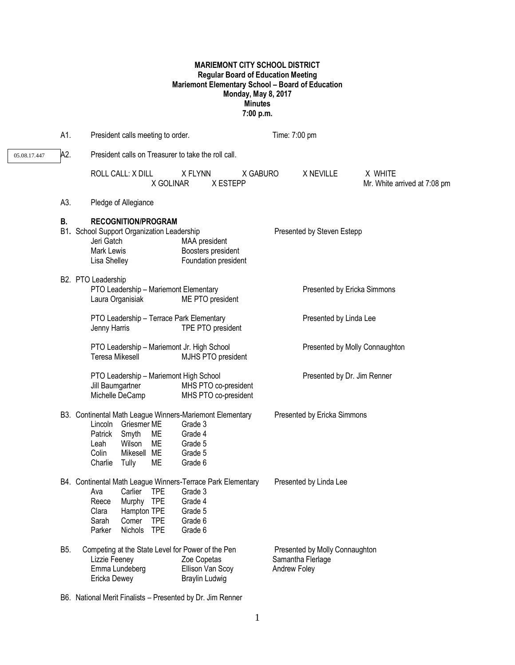# **MARIEMONT CITY SCHOOL DISTRICT Regular Board of Education Meeting Mariemont Elementary School – Board of Education Monday, May 8, 2017 Minutes 7:00 p.m.**

|              | A1.        | President calls meeting to order.                                                                                                                                                                                                                                    | Time: 7:00 pm                                                       |
|--------------|------------|----------------------------------------------------------------------------------------------------------------------------------------------------------------------------------------------------------------------------------------------------------------------|---------------------------------------------------------------------|
| 05.08.17.447 | A2.        | President calls on Treasurer to take the roll call.                                                                                                                                                                                                                  |                                                                     |
|              |            | ROLL CALL: X DILL<br>X FLYNN<br>X GABURO<br>X GOLINAR<br>X ESTEPP                                                                                                                                                                                                    | X WHITE<br>X NEVILLE<br>Mr. White arrived at 7:08 pm                |
|              | A3.        | Pledge of Allegiance                                                                                                                                                                                                                                                 |                                                                     |
|              | В.         | <b>RECOGNITION/PROGRAM</b><br>B1. School Support Organization Leadership<br>Jeri Gatch<br>MAA president<br>Mark Lewis<br>Boosters president<br>Lisa Shelley<br>Foundation president                                                                                  | Presented by Steven Estepp                                          |
|              |            | B2. PTO Leadership<br>PTO Leadership - Mariemont Elementary<br>Laura Organisiak<br>ME PTO president                                                                                                                                                                  | Presented by Ericka Simmons                                         |
|              |            | PTO Leadership - Terrace Park Elementary<br>TPE PTO president<br>Jenny Harris                                                                                                                                                                                        | Presented by Linda Lee                                              |
|              |            | PTO Leadership - Mariemont Jr. High School<br>Teresa Mikesell<br>MJHS PTO president                                                                                                                                                                                  | Presented by Molly Connaughton                                      |
|              |            | PTO Leadership - Mariemont High School<br>MHS PTO co-president<br>Jill Baumgartner<br>Michelle DeCamp<br>MHS PTO co-president                                                                                                                                        | Presented by Dr. Jim Renner                                         |
|              |            | B3. Continental Math League Winners-Mariemont Elementary<br>Lincoln Griesmer ME<br>Grade 3<br>Smyth<br>ME<br>Patrick<br>Grade 4<br>ME<br>Wilson<br>Leah<br>Grade 5<br>Mikesell ME<br>Colin<br>Grade 5<br>Charlie<br>Tully<br>ME<br>Grade 6                           | Presented by Ericka Simmons                                         |
|              |            | B4. Continental Math League Winners-Terrace Park Elementary<br>Carlier<br><b>TPE</b><br>Ava<br>Grade 3<br>Murphy TPE<br>Reece<br>Grade 4<br>Clara<br>Hampton TPE<br>Grade 5<br>Sarah<br>Comer<br><b>TPE</b><br>Grade 6<br><b>TPE</b><br>Parker<br>Nichols<br>Grade 6 | Presented by Linda Lee                                              |
|              | <b>B5.</b> | Competing at the State Level for Power of the Pen<br>Lizzie Feeney<br>Zoe Copetas<br>Emma Lundeberg<br>Ellison Van Scoy<br>Ericka Dewey<br><b>Braylin Ludwig</b>                                                                                                     | Presented by Molly Connaughton<br>Samantha Flerlage<br>Andrew Foley |

B6. National Merit Finalists – Presented by Dr. Jim Renner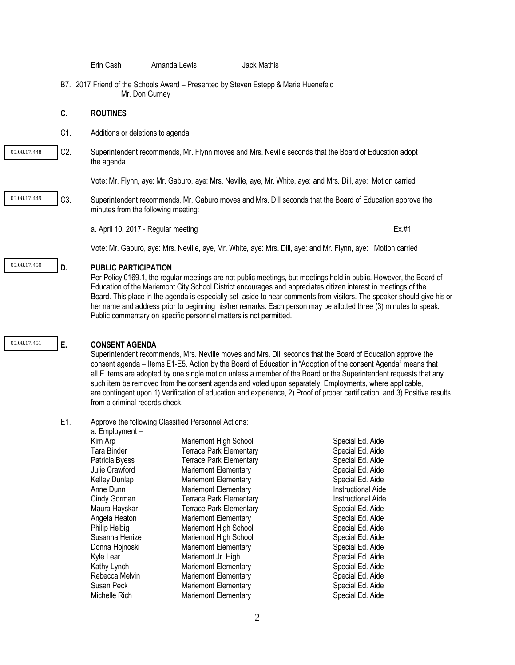Erin Cash Amanda Lewis Jack Mathis B7. 2017 Friend of the Schools Award – Presented by Steven Estepp & Marie Huenefeld Mr. Don Gurney **C. ROUTINES** C1. Additions or deletions to agenda C2. Superintendent recommends, Mr. Flynn moves and Mrs. Neville seconds that the Board of Education adopt the agenda. Vote: Mr. Flynn, aye: Mr. Gaburo, aye: Mrs. Neville, aye, Mr. White, aye: and Mrs. Dill, aye: Motion carried C3. Superintendent recommends, Mr. Gaburo moves and Mrs. Dill seconds that the Board of Education approve the minutes from the following meeting: a. April 10, 2017 - Regular meeting exercise to the exercise of the Ex.#1 Vote: Mr. Gaburo, aye: Mrs. Neville, aye, Mr. White, aye: Mrs. Dill, aye: and Mr. Flynn, aye: Motion carried **D. PUBLIC PARTICIPATION** Per Policy 0169.1, the regular meetings are not public meetings, but meetings held in public. However, the Board of Education of the Mariemont City School District encourages and appreciates citizen interest in meetings of the Board. This place in the agenda is especially set aside to hear comments from visitors. The speaker should give his or her name and address prior to beginning his/her remarks. Each person may be allotted three (3) minutes to speak. Public commentary on specific personnel matters is not permitted. **E. CONSENT AGENDA**  Superintendent recommends, Mrs. Neville moves and Mrs. Dill seconds that the Board of Education approve the consent agenda – Items E1-E5. Action by the Board of Education in "Adoption of the consent Agenda" means that all E items are adopted by one single motion unless a member of the Board or the Superintendent requests that any such item be removed from the consent agenda and voted upon separately. Employments, where applicable, are contingent upon 1) Verification of education and experience, 2) Proof of proper certification, and 3) Positive results from a criminal records check. E1. Approve the following Classified Personnel Actions: a. Employment – necial Ed. Aide pecial Ed. Aide 05.08.17.448 05.08.17.451 05.08.17.449 05.08.17.450

| Kim Arp              | Mariemont High School          | Special Ed. Aide          |
|----------------------|--------------------------------|---------------------------|
| Tara Binder          | <b>Terrace Park Elementary</b> | Special Ed. Aide          |
| Patricia Byess       | <b>Terrace Park Elementary</b> | Special Ed. Aide          |
| Julie Crawford       | <b>Mariemont Elementary</b>    | Special Ed. Aide          |
| <b>Kelley Dunlap</b> | <b>Mariemont Elementary</b>    | Special Ed. Aide          |
| Anne Dunn            | <b>Mariemont Elementary</b>    | <b>Instructional Aide</b> |
| Cindy Gorman         | <b>Terrace Park Elementary</b> | Instructional Aide        |
| Maura Hayskar        | <b>Terrace Park Elementary</b> | Special Ed. Aide          |
| Angela Heaton        | <b>Mariemont Elementary</b>    | Special Ed. Aide          |
| Philip Helbig        | Mariemont High School          | Special Ed. Aide          |
| Susanna Henize       | Mariemont High School          | Special Ed. Aide          |
| Donna Hojnoski       | <b>Mariemont Elementary</b>    | Special Ed. Aide          |
| Kyle Lear            | Mariemont Jr. High             | Special Ed. Aide          |
| Kathy Lynch          | <b>Mariemont Elementary</b>    | Special Ed. Aide          |
| Rebecca Melvin       | <b>Mariemont Elementary</b>    | Special Ed. Aide          |
| Susan Peck           | <b>Mariemont Elementary</b>    | Special Ed. Aide          |
| Michelle Rich        | <b>Mariemont Elementary</b>    | Special Ed. Aide          |
|                      |                                |                           |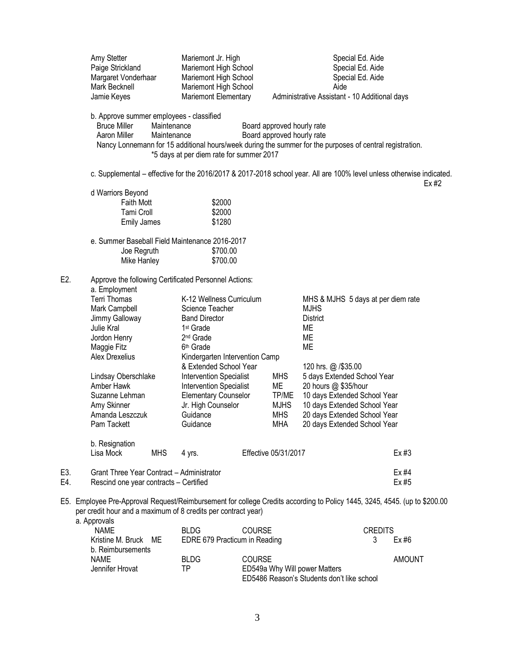|            | Amy Stetter<br>Paige Strickland<br>Margaret Vonderhaar<br>Mark Becknell<br>Jamie Keyes                                                                                                                     | Mariemont Jr. High<br>Mariemont High School<br>Mariemont High School<br>Mariemont High School<br>Mariemont Elementary                                                                                     |                                                               | Special Ed. Aide<br>Special Ed. Aide<br>Special Ed. Aide<br>Aide<br>Administrative Assistant - 10 Additional days                                                                                          |                |
|------------|------------------------------------------------------------------------------------------------------------------------------------------------------------------------------------------------------------|-----------------------------------------------------------------------------------------------------------------------------------------------------------------------------------------------------------|---------------------------------------------------------------|------------------------------------------------------------------------------------------------------------------------------------------------------------------------------------------------------------|----------------|
|            | b. Approve summer employees - classified<br><b>Bruce Miller</b><br>Maintenance<br>Aaron Miller<br>Maintenance                                                                                              | *5 days at per diem rate for summer 2017                                                                                                                                                                  | Board approved hourly rate<br>Board approved hourly rate      | Nancy Lonnemann for 15 additional hours/week during the summer for the purposes of central registration.                                                                                                   |                |
|            |                                                                                                                                                                                                            |                                                                                                                                                                                                           |                                                               | c. Supplemental – effective for the 2016/2017 & 2017-2018 school year. All are 100% level unless otherwise indicated.                                                                                      | Ex#2           |
|            | d Warriors Beyond<br><b>Faith Mott</b><br>Tami Croll<br><b>Emily James</b>                                                                                                                                 | \$2000<br>\$2000<br>\$1280                                                                                                                                                                                |                                                               |                                                                                                                                                                                                            |                |
|            | e. Summer Baseball Field Maintenance 2016-2017<br>Joe Regruth<br>Mike Hanley                                                                                                                               | \$700.00<br>\$700.00                                                                                                                                                                                      |                                                               |                                                                                                                                                                                                            |                |
| E2.        | Approve the following Certificated Personnel Actions:<br>a. Employment<br>Terri Thomas<br>Mark Campbell<br>Jimmy Galloway<br>Julie Kral<br>Jordon Henry<br>Maggie Fitz                                     | K-12 Wellness Curriculum<br>Science Teacher<br><b>Band Director</b><br>1 <sup>st</sup> Grade<br>2 <sup>nd</sup> Grade<br>6 <sup>th</sup> Grade                                                            |                                                               | MHS & MJHS 5 days at per diem rate<br><b>MJHS</b><br><b>District</b><br>МE<br><b>ME</b><br><b>ME</b>                                                                                                       |                |
|            | Alex Drexelius<br>Lindsay Oberschlake<br>Amber Hawk<br>Suzanne Lehman<br>Amy Skinner<br>Amanda Leszczuk<br>Pam Tackett                                                                                     | Kindergarten Intervention Camp<br>& Extended School Year<br><b>Intervention Specialist</b><br><b>Intervention Specialist</b><br><b>Elementary Counselor</b><br>Jr. High Counselor<br>Guidance<br>Guidance | <b>MHS</b><br>ME<br>TP/ME<br><b>MJHS</b><br><b>MHS</b><br>MHA | 120 hrs. @ /\$35.00<br>5 days Extended School Year<br>20 hours @ \$35/hour<br>10 days Extended School Year<br>10 days Extended School Year<br>20 days Extended School Year<br>20 days Extended School Year |                |
|            | b. Resignation<br>Lisa Mock<br><b>MHS</b>                                                                                                                                                                  | 4 yrs.                                                                                                                                                                                                    | Effective 05/31/2017                                          |                                                                                                                                                                                                            | Ex#3           |
| E3.<br>E4. | Grant Three Year Contract - Administrator<br>Rescind one year contracts - Certified                                                                                                                        |                                                                                                                                                                                                           |                                                               |                                                                                                                                                                                                            | Ex #4<br>Ex #5 |
|            | E5. Employee Pre-Approval Request/Reimbursement for college Credits according to Policy 1445, 3245, 4545. (up to \$200.00<br>per credit hour and a maximum of 8 credits per contract year)<br>a. Approvals |                                                                                                                                                                                                           |                                                               |                                                                                                                                                                                                            |                |
|            | <b>NAME</b><br>Kristine M. Bruck<br>ME<br>b. Reimbursements                                                                                                                                                | <b>BLDG</b><br>EDRE 679 Practicum in Reading                                                                                                                                                              | <b>COURSE</b>                                                 | <b>CREDITS</b><br>3                                                                                                                                                                                        | Ex#6           |
|            | <b>NAME</b><br>Jennifer Hrovat                                                                                                                                                                             | <b>BLDG</b><br><b>TP</b>                                                                                                                                                                                  | <b>COURSE</b><br>ED549a Why Will power Matters                |                                                                                                                                                                                                            | <b>AMOUNT</b>  |

ED5486 Reason's Students don't like school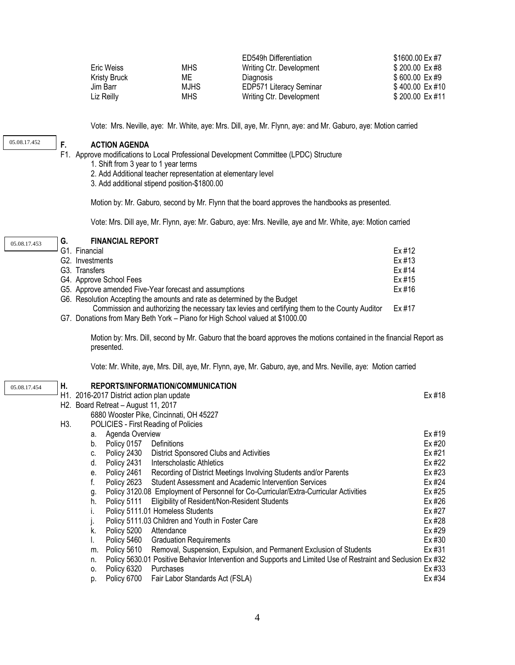|              |             | ED549h Differentiation         | \$1600.00 Ex #7 |
|--------------|-------------|--------------------------------|-----------------|
| Eric Weiss   | <b>MHS</b>  | Writing Ctr. Development       | \$200.00 Ex#8   |
| Kristy Bruck | МE          | <b>Diagnosis</b>               | \$600.00 Ex#9   |
| Jim Barr     | <b>MJHS</b> | <b>EDP571 Literacy Seminar</b> | \$400.00 Ex #10 |
| Liz Reilly   | MHS.        | Writing Ctr. Development       | \$200.00 Ex #11 |

Vote: Mrs. Neville, aye: Mr. White, aye: Mrs. Dill, aye, Mr. Flynn, aye: and Mr. Gaburo, aye: Motion carried

05.08.17.452

#### **F. ACTION AGENDA**

F1. Approve modifications to Local Professional Development Committee (LPDC) Structure

- 1. Shift from 3 year to 1 year terms
- 2. Add Additional teacher representation at elementary level
- 3. Add additional stipend position-\$1800.00

Motion by: Mr. Gaburo, second by Mr. Flynn that the board approves the handbooks as presented.

Vote: Mrs. Dill aye, Mr. Flynn, aye: Mr. Gaburo, aye: Mrs. Neville, aye and Mr. White, aye: Motion carried

#### **G. FINANCIAL REPORT**

|  | $-$ G1. Financial                                                                             | Ex #12 |
|--|-----------------------------------------------------------------------------------------------|--------|
|  | G2. Investments                                                                               | Ex #13 |
|  | G3. Transfers                                                                                 | Ex #14 |
|  | G4. Approve School Fees                                                                       | Ex #15 |
|  | G5. Approve amended Five-Year forecast and assumptions                                        | Ex #16 |
|  | G6. Resolution Accepting the amounts and rate as determined by the Budget                     |        |
|  | Commission and authorizing the necessary tax levies and certifying them to the County Auditor | Ex #17 |
|  | G7 Donations from Many Beth Vork - Piano for High School valued at \$1000.00                  |        |

G7. Donations from Mary Beth York – Piano for High School valued at \$1000.00

Motion by: Mrs. Dill, second by Mr. Gaburo that the board approves the motions contained in the financial Report as presented.

Vote: Mr. White, aye, Mrs. Dill, aye, Mr. Flynn, aye, Mr. Gaburo, aye, and Mrs. Neville, aye: Motion carried

05.08.17.454

## **H. REPORTS/INFORMATION/COMMUNICATION**

|     |    | H1. 2016-2017 District action plan update        |                                                                                                              | Ex #18 |
|-----|----|--------------------------------------------------|--------------------------------------------------------------------------------------------------------------|--------|
|     |    | H <sub>2</sub> . Board Retreat - August 11, 2017 |                                                                                                              |        |
|     |    |                                                  | 6880 Wooster Pike, Cincinnati, OH 45227                                                                      |        |
| H3. |    |                                                  | POLICIES - First Reading of Policies                                                                         |        |
|     | a. | Agenda Overview                                  |                                                                                                              | Ex #19 |
|     | b. | Policy 0157                                      | Definitions                                                                                                  | Ex #20 |
|     | C. |                                                  | Policy 2430 District Sponsored Clubs and Activities                                                          | Ex #21 |
|     | d. | Policy 2431                                      | Interscholastic Athletics                                                                                    | Ex #22 |
|     | е. | Policy 2461                                      | Recording of District Meetings Involving Students and/or Parents                                             | Ex #23 |
|     |    | Policy 2623                                      | Student Assessment and Academic Intervention Services                                                        | Ex #24 |
|     | g. |                                                  | Policy 3120.08 Employment of Personnel for Co-Curricular/Extra-Curricular Activities                         | Ex #25 |
|     | h. |                                                  | Policy 5111 Eligibility of Resident/Non-Resident Students                                                    | Ex #26 |
|     |    |                                                  | Policy 5111.01 Homeless Students                                                                             | Ex #27 |
|     |    |                                                  | Policy 5111.03 Children and Youth in Foster Care                                                             | Ex #28 |
|     | k. | Policy 5200                                      | Attendance                                                                                                   | Ex #29 |
|     |    |                                                  | Policy 5460 Graduation Requirements                                                                          | Ex #30 |
|     | m. | Policy 5610                                      | Removal, Suspension, Expulsion, and Permanent Exclusion of Students                                          | Ex #31 |
|     | n. |                                                  | Policy 5630.01 Positive Behavior Intervention and Supports and Limited Use of Restraint and Seclusion Ex #32 |        |
|     | 0. | Policy 6320                                      | Purchases                                                                                                    | Ex #33 |
|     | p. | Policy 6700                                      | Fair Labor Standards Act (FSLA)                                                                              | Ex #34 |